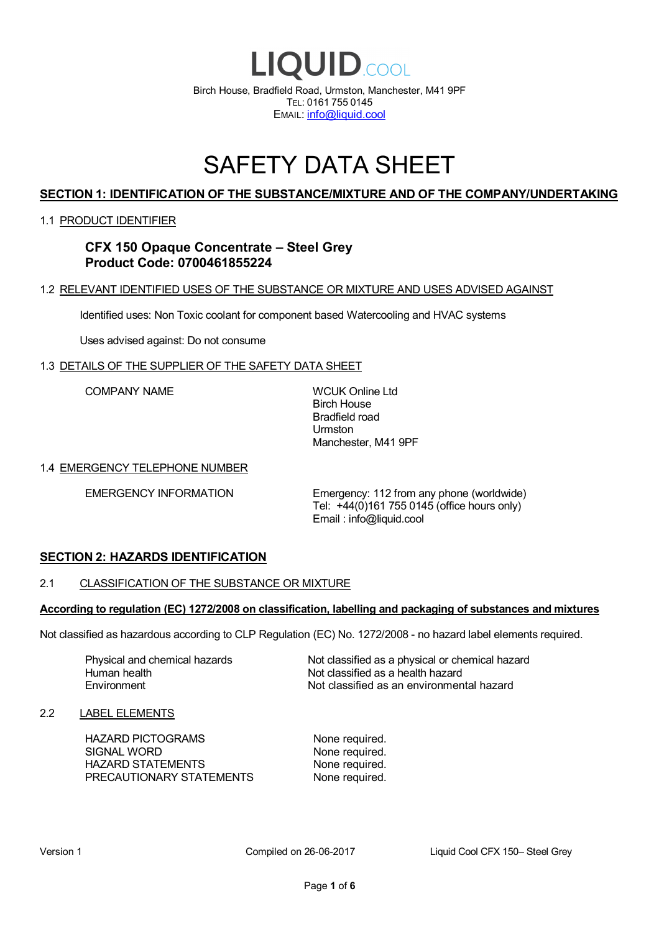

# SAFETY DATA SHEET

# **SECTION 1: IDENTIFICATION OF THE SUBSTANCE/MIXTURE AND OF THE COMPANY/UNDERTAKING**

### 1.1 PRODUCT IDENTIFIER

# **CFX 150 Opaque Concentrate – Steel Grey Product Code: 0700461855224**

# 1.2 RELEVANT IDENTIFIED USES OF THE SUBSTANCE OR MIXTURE AND USES ADVISED AGAINST

Identified uses: Non Toxic coolant for component based Watercooling and HVAC systems

Uses advised against: Do not consume

### 1.3 DETAILS OF THE SUPPLIER OF THE SAFETY DATA SHEET

COMPANY NAME WCUK Online Ltd

Birch House Bradfield road Urmston Manchester, M41 9PF

### 1.4 EMERGENCY TELEPHONE NUMBER

EMERGENCY INFORMATION Emergency: 112 from any phone (worldwide) Tel: +44(0)161 755 0145 (office hours only) Email : info@liquid.cool

# **SECTION 2: HAZARDS IDENTIFICATION**

### 2.1 CLASSIFICATION OF THE SUBSTANCE OR MIXTURE

### **According to regulation (EC) 1272/2008 on classification, labelling and packaging of substances and mixtures**

Not classified as hazardous according to CLP Regulation (EC) No. 1272/2008 - no hazard label elements required.

Human health **Environment** 

Physical and chemical hazards Not classified as a physical or chemical hazard Not classified as a health hazard Not classified as an environmental hazard

### 2.2 LABEL ELEMENTS

HAZARD PICTOGRAMS None required. SIGNAL WORD None required. HAZARD STATEMENTS None required. PRECAUTIONARY STATEMENTS None required.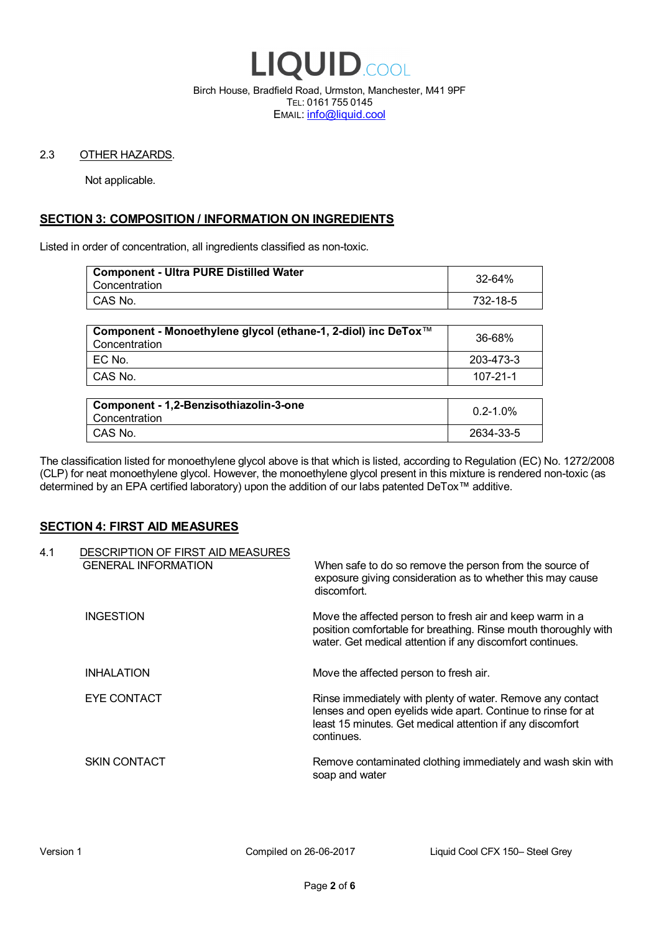

Birch House, Bradfield Road, Urmston, Manchester, M41 9PF TEL: 0161 755 0145 EMAIL: info@liquid.cool

### 2.3 OTHER HAZARDS.

Not applicable.

# **SECTION 3: COMPOSITION / INFORMATION ON INGREDIENTS**

Listed in order of concentration, all ingredients classified as non-toxic.

| <b>Component - Ultra PURE Distilled Water</b><br>Concentration | 32-64%   |
|----------------------------------------------------------------|----------|
| CAS No.                                                        | 732-18-5 |
|                                                                |          |

| Component - Monoethylene glycol (ethane-1, 2-diol) inc DeTox™<br>Concentration | 36-68%    |
|--------------------------------------------------------------------------------|-----------|
| ! EC No.                                                                       | 203-473-3 |
| I CAS No.                                                                      | 107-21-1  |

| Component - 1,2-Benzisothiazolin-3-one<br>Concentration | $0.2 - 1.0\%$ |
|---------------------------------------------------------|---------------|
| CAS No.                                                 | 2634-33-5     |

The classification listed for monoethylene glycol above is that which is listed, according to Regulation (EC) No. 1272/2008 (CLP) for neat monoethylene glycol. However, the monoethylene glycol present in this mixture is rendered non-toxic (as determined by an EPA certified laboratory) upon the addition of our labs patented DeTox™ additive.

### **SECTION 4: FIRST AID MEASURES**

| 4.1 | DESCRIPTION OF FIRST AID MEASURES<br><b>GENERAL INFORMATION</b> | When safe to do so remove the person from the source of<br>exposure giving consideration as to whether this may cause<br>discomfort.                                                                  |
|-----|-----------------------------------------------------------------|-------------------------------------------------------------------------------------------------------------------------------------------------------------------------------------------------------|
|     | <b>INGESTION</b>                                                | Move the affected person to fresh air and keep warm in a<br>position comfortable for breathing. Rinse mouth thoroughly with<br>water. Get medical attention if any discomfort continues.              |
|     | <b>INHALATION</b>                                               | Move the affected person to fresh air.                                                                                                                                                                |
|     | EYE CONTACT                                                     | Rinse immediately with plenty of water. Remove any contact<br>lenses and open eyelids wide apart. Continue to rinse for at<br>least 15 minutes. Get medical attention if any discomfort<br>continues. |
|     | <b>SKIN CONTACT</b>                                             | Remove contaminated clothing immediately and wash skin with<br>soap and water                                                                                                                         |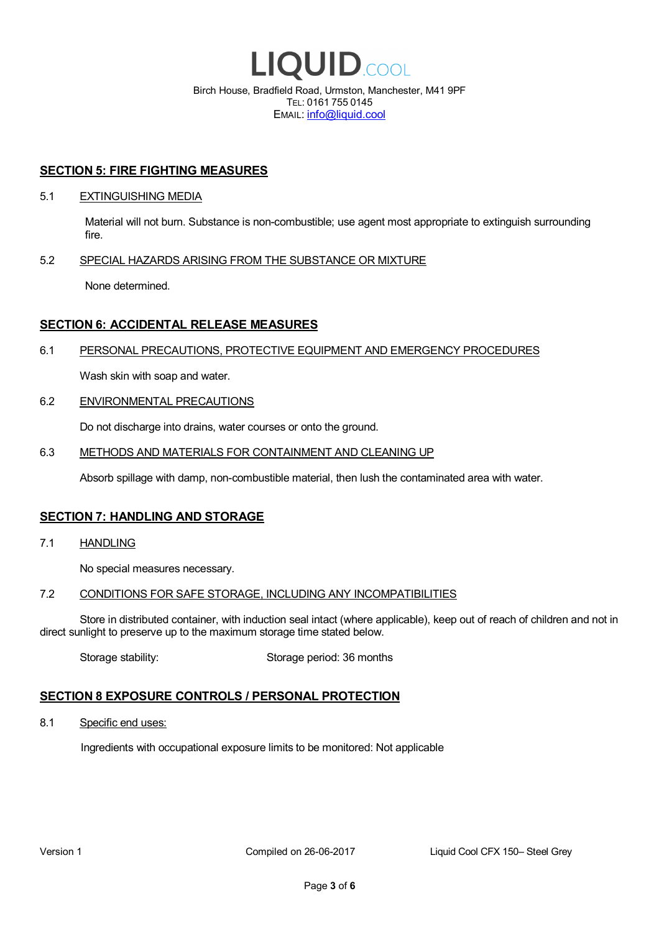

EMAIL: info@liquid.cool

### **SECTION 5: FIRE FIGHTING MEASURES**

### 5.1 EXTINGUISHING MEDIA

Material will not burn. Substance is non-combustible; use agent most appropriate to extinguish surrounding fire.

### 5.2 SPECIAL HAZARDS ARISING FROM THE SUBSTANCE OR MIXTURE

None determined.

# **SECTION 6: ACCIDENTAL RELEASE MEASURES**

### 6.1 PERSONAL PRECAUTIONS, PROTECTIVE EQUIPMENT AND EMERGENCY PROCEDURES

Wash skin with soap and water.

### 6.2 ENVIRONMENTAL PRECAUTIONS

Do not discharge into drains, water courses or onto the ground.

### 6.3 METHODS AND MATERIALS FOR CONTAINMENT AND CLEANING UP

Absorb spillage with damp, non-combustible material, then lush the contaminated area with water.

### **SECTION 7: HANDLING AND STORAGE**

7.1 HANDLING

No special measures necessary.

### 7.2 CONDITIONS FOR SAFE STORAGE, INCLUDING ANY INCOMPATIBILITIES

Store in distributed container, with induction seal intact (where applicable), keep out of reach of children and not in direct sunlight to preserve up to the maximum storage time stated below.

Storage stability: Storage period: 36 months

# **SECTION 8 EXPOSURE CONTROLS / PERSONAL PROTECTION**

8.1 Specific end uses:

Ingredients with occupational exposure limits to be monitored: Not applicable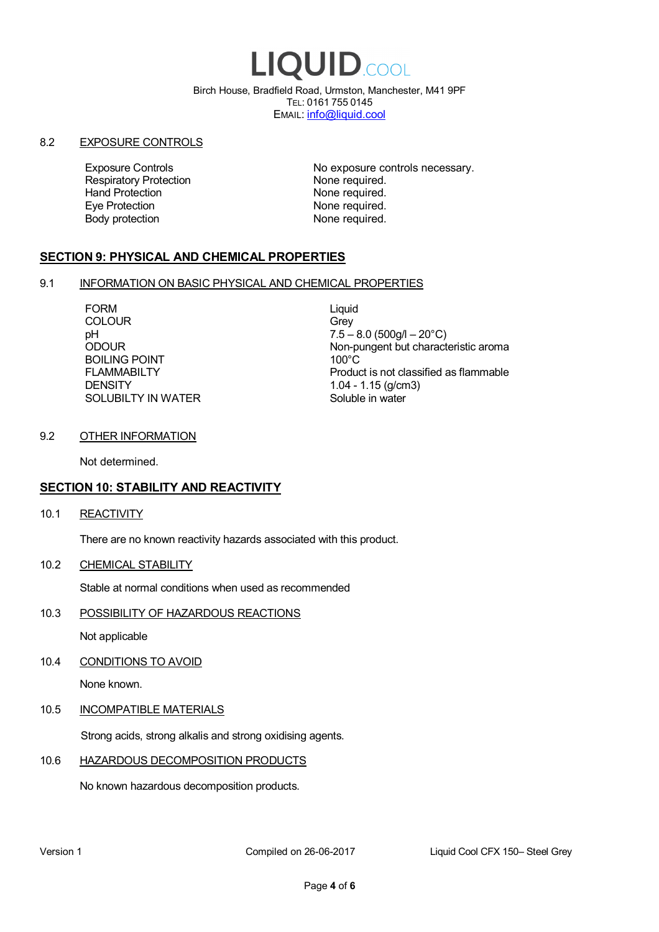# LIQUID.COOL

Birch House, Bradfield Road, Urmston, Manchester, M41 9PF TEL: 0161 755 0145 EMAIL: info@liquid.cool

### 8.2 EXPOSURE CONTROLS

Respiratory Protection **None required.**<br>
Hand Protection **None required.** Eye Protection **None required.** Body protection None required.

Exposure Controls **Exposure Controls** No exposure controls necessary. None required.

# **SECTION 9: PHYSICAL AND CHEMICAL PROPERTIES**

### 9.1 INFORMATION ON BASIC PHYSICAL AND CHEMICAL PROPERTIES

FORM Liquid COLOUR Grey BOILING POINT FLAMMABILTY **DENSITY** SOLUBILTY IN WATER

pH<br>
DDOUR
20°C)
2000UR
2000UR
2000UR
2000UR Non-pungent but characteristic aroma 100°C Product is not classified as flammable 1.04 - 1.15 (g/cm3) Soluble in water

# 9.2 OTHER INFORMATION

Not determined.

# **SECTION 10: STABILITY AND REACTIVITY**

10.1 REACTIVITY

There are no known reactivity hazards associated with this product.

10.2 CHEMICAL STABILITY

Stable at normal conditions when used as recommended

10.3 POSSIBILITY OF HAZARDOUS REACTIONS

Not applicable

10.4 CONDITIONS TO AVOID

None known.

### 10.5 INCOMPATIBLE MATERIALS

Strong acids, strong alkalis and strong oxidising agents.

### 10.6 HAZARDOUS DECOMPOSITION PRODUCTS

No known hazardous decomposition products.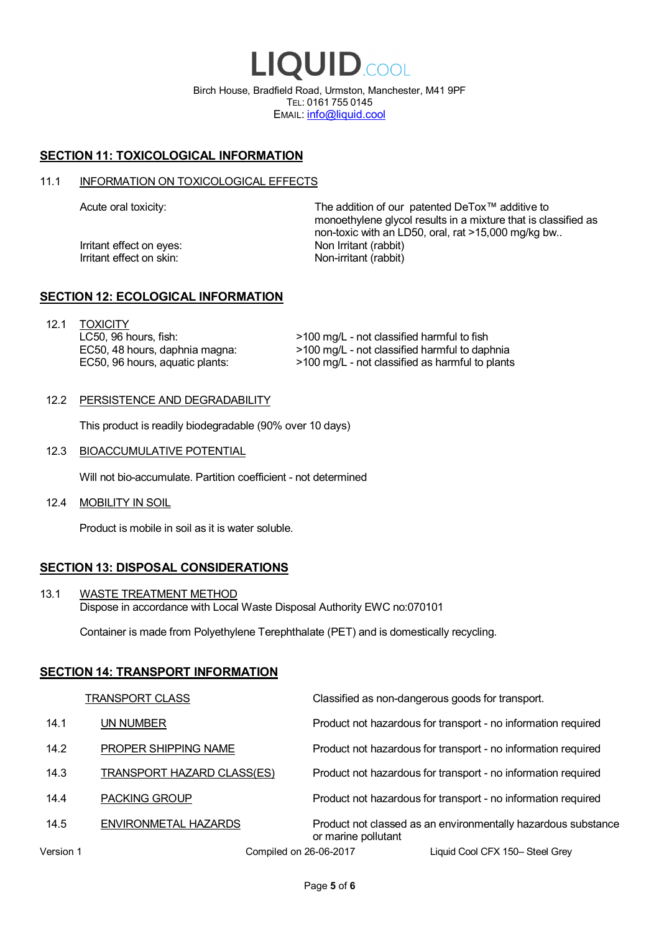LIQUID.COOL Birch House, Bradfield Road, Urmston, Manchester, M41 9PF TEL: 0161 755 0145 EMAIL: info@liquid.cool

# **SECTION 11: TOXICOLOGICAL INFORMATION**

### 11.1 INFORMATION ON TOXICOLOGICAL EFFECTS

Irritant effect on eves: Non Irritant (rabbit) Irritant effect on skin: Non-irritant (rabbit)

Acute oral toxicity: The addition of our patented DeTox™ additive to monoethylene glycol results in a mixture that is classified as non-toxic with an LD50, oral, rat >15,000 mg/kg bw..

### **SECTION 12: ECOLOGICAL INFORMATION**

12.1 TOXICITY LC50, 96 hours, fish: EC50, 48 hours, daphnia magna: EC50, 96 hours, aquatic plants:

>100 mg/L - not classified harmful to fish >100 mg/L - not classified harmful to daphnia >100 mg/L - not classified as harmful to plants

### 12.2 PERSISTENCE AND DEGRADABILITY

This product is readily biodegradable (90% over 10 days)

12.3 BIOACCUMULATIVE POTENTIAL

Will not bio-accumulate. Partition coefficient - not determined

12.4 MOBILITY IN SOIL

Product is mobile in soil as it is water soluble.

# **SECTION 13: DISPOSAL CONSIDERATIONS**

13.1 WASTE TREATMENT METHOD Dispose in accordance with Local Waste Disposal Authority EWC no:070101

Container is made from Polyethylene Terephthalate (PET) and is domestically recycling.

### **SECTION 14: TRANSPORT INFORMATION**

|           | <b>TRANSPORT CLASS</b>            | Classified as non-dangerous goods for transport.                                     |
|-----------|-----------------------------------|--------------------------------------------------------------------------------------|
| 14.1      | UN NUMBER                         | Product not hazardous for transport - no information required                        |
| 14.2      | PROPER SHIPPING NAME              | Product not hazardous for transport - no information required                        |
| 14.3      | <b>TRANSPORT HAZARD CLASS(ES)</b> | Product not hazardous for transport - no information required                        |
| 14.4      | <b>PACKING GROUP</b>              | Product not hazardous for transport - no information required                        |
| 14.5      | ENVIRONMETAL HAZARDS              | Product not classed as an environmentally hazardous substance<br>or marine pollutant |
| Version 1 | Compiled on 26-06-2017            | Liquid Cool CFX 150-Steel Grey                                                       |